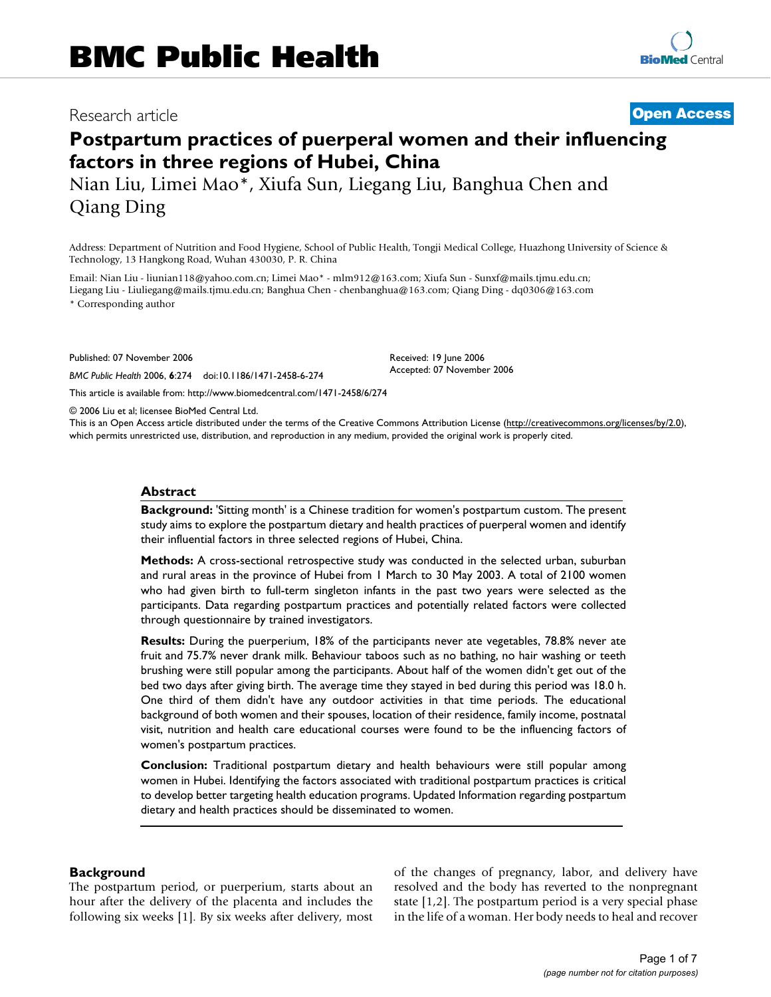## Research article **[Open Access](http://www.biomedcentral.com/info/about/charter/)**

# **Postpartum practices of puerperal women and their influencing factors in three regions of Hubei, China**

Nian Liu, Limei Mao\*, Xiufa Sun, Liegang Liu, Banghua Chen and Qiang Ding

Address: Department of Nutrition and Food Hygiene, School of Public Health, Tongji Medical College, Huazhong University of Science & Technology, 13 Hangkong Road, Wuhan 430030, P. R. China

Email: Nian Liu - liunian118@yahoo.com.cn; Limei Mao\* - mlm912@163.com; Xiufa Sun - Sunxf@mails.tjmu.edu.cn; Liegang Liu - Liuliegang@mails.tjmu.edu.cn; Banghua Chen - chenbanghua@163.com; Qiang Ding - dq0306@163.com

\* Corresponding author

Published: 07 November 2006

*BMC Public Health* 2006, **6**:274 doi:10.1186/1471-2458-6-274

[This article is available from: http://www.biomedcentral.com/1471-2458/6/274](http://www.biomedcentral.com/1471-2458/6/274)

© 2006 Liu et al; licensee BioMed Central Ltd.

This is an Open Access article distributed under the terms of the Creative Commons Attribution License [\(http://creativecommons.org/licenses/by/2.0\)](http://creativecommons.org/licenses/by/2.0), which permits unrestricted use, distribution, and reproduction in any medium, provided the original work is properly cited.

Received: 19 June 2006 Accepted: 07 November 2006

#### **Abstract**

**Background:** 'Sitting month' is a Chinese tradition for women's postpartum custom. The present study aims to explore the postpartum dietary and health practices of puerperal women and identify their influential factors in three selected regions of Hubei, China.

**Methods:** A cross-sectional retrospective study was conducted in the selected urban, suburban and rural areas in the province of Hubei from 1 March to 30 May 2003. A total of 2100 women who had given birth to full-term singleton infants in the past two years were selected as the participants. Data regarding postpartum practices and potentially related factors were collected through questionnaire by trained investigators.

**Results:** During the puerperium, 18% of the participants never ate vegetables, 78.8% never ate fruit and 75.7% never drank milk. Behaviour taboos such as no bathing, no hair washing or teeth brushing were still popular among the participants. About half of the women didn't get out of the bed two days after giving birth. The average time they stayed in bed during this period was 18.0 h. One third of them didn't have any outdoor activities in that time periods. The educational background of both women and their spouses, location of their residence, family income, postnatal visit, nutrition and health care educational courses were found to be the influencing factors of women's postpartum practices.

**Conclusion:** Traditional postpartum dietary and health behaviours were still popular among women in Hubei. Identifying the factors associated with traditional postpartum practices is critical to develop better targeting health education programs. Updated Information regarding postpartum dietary and health practices should be disseminated to women.

#### **Background**

The postpartum period, or puerperium, starts about an hour after the delivery of the placenta and includes the following six weeks [1]. By six weeks after delivery, most of the changes of pregnancy, labor, and delivery have resolved and the body has reverted to the nonpregnant state [1,2]. The postpartum period is a very special phase in the life of a woman. Her body needs to heal and recover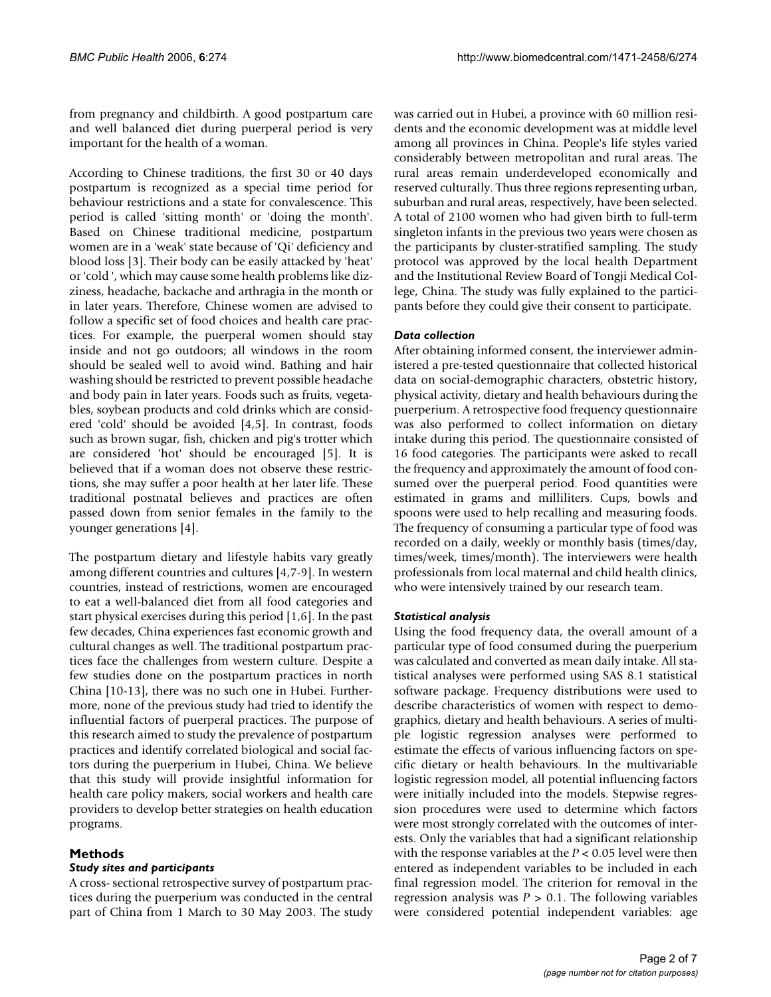from pregnancy and childbirth. A good postpartum care and well balanced diet during puerperal period is very important for the health of a woman.

According to Chinese traditions, the first 30 or 40 days postpartum is recognized as a special time period for behaviour restrictions and a state for convalescence. This period is called 'sitting month' or 'doing the month'. Based on Chinese traditional medicine, postpartum women are in a 'weak' state because of 'Qi' deficiency and blood loss [3]. Their body can be easily attacked by 'heat' or 'cold ', which may cause some health problems like dizziness, headache, backache and arthragia in the month or in later years. Therefore, Chinese women are advised to follow a specific set of food choices and health care practices. For example, the puerperal women should stay inside and not go outdoors; all windows in the room should be sealed well to avoid wind. Bathing and hair washing should be restricted to prevent possible headache and body pain in later years. Foods such as fruits, vegetables, soybean products and cold drinks which are considered 'cold' should be avoided [4,5]. In contrast, foods such as brown sugar, fish, chicken and pig's trotter which are considered 'hot' should be encouraged [5]. It is believed that if a woman does not observe these restrictions, she may suffer a poor health at her later life. These traditional postnatal believes and practices are often passed down from senior females in the family to the younger generations [4].

The postpartum dietary and lifestyle habits vary greatly among different countries and cultures [4,7-9]. In western countries, instead of restrictions, women are encouraged to eat a well-balanced diet from all food categories and start physical exercises during this period [1,6]. In the past few decades, China experiences fast economic growth and cultural changes as well. The traditional postpartum practices face the challenges from western culture. Despite a few studies done on the postpartum practices in north China [10-13], there was no such one in Hubei. Furthermore, none of the previous study had tried to identify the influential factors of puerperal practices. The purpose of this research aimed to study the prevalence of postpartum practices and identify correlated biological and social factors during the puerperium in Hubei, China. We believe that this study will provide insightful information for health care policy makers, social workers and health care providers to develop better strategies on health education programs.

## **Methods**

#### *Study sites and participants*

A cross- sectional retrospective survey of postpartum practices during the puerperium was conducted in the central part of China from 1 March to 30 May 2003. The study was carried out in Hubei, a province with 60 million residents and the economic development was at middle level among all provinces in China. People's life styles varied considerably between metropolitan and rural areas. The rural areas remain underdeveloped economically and reserved culturally. Thus three regions representing urban, suburban and rural areas, respectively, have been selected. A total of 2100 women who had given birth to full-term singleton infants in the previous two years were chosen as the participants by cluster-stratified sampling. The study protocol was approved by the local health Department and the Institutional Review Board of Tongji Medical College, China. The study was fully explained to the participants before they could give their consent to participate.

#### *Data collection*

After obtaining informed consent, the interviewer administered a pre-tested questionnaire that collected historical data on social-demographic characters, obstetric history, physical activity, dietary and health behaviours during the puerperium. A retrospective food frequency questionnaire was also performed to collect information on dietary intake during this period. The questionnaire consisted of 16 food categories. The participants were asked to recall the frequency and approximately the amount of food consumed over the puerperal period. Food quantities were estimated in grams and milliliters. Cups, bowls and spoons were used to help recalling and measuring foods. The frequency of consuming a particular type of food was recorded on a daily, weekly or monthly basis (times/day, times/week, times/month). The interviewers were health professionals from local maternal and child health clinics, who were intensively trained by our research team.

#### *Statistical analysis*

Using the food frequency data, the overall amount of a particular type of food consumed during the puerperium was calculated and converted as mean daily intake. All statistical analyses were performed using SAS 8.1 statistical software package. Frequency distributions were used to describe characteristics of women with respect to demographics, dietary and health behaviours. A series of multiple logistic regression analyses were performed to estimate the effects of various influencing factors on specific dietary or health behaviours. In the multivariable logistic regression model, all potential influencing factors were initially included into the models. Stepwise regression procedures were used to determine which factors were most strongly correlated with the outcomes of interests. Only the variables that had a significant relationship with the response variables at the *P* < 0.05 level were then entered as independent variables to be included in each final regression model. The criterion for removal in the regression analysis was  $P > 0.1$ . The following variables were considered potential independent variables: age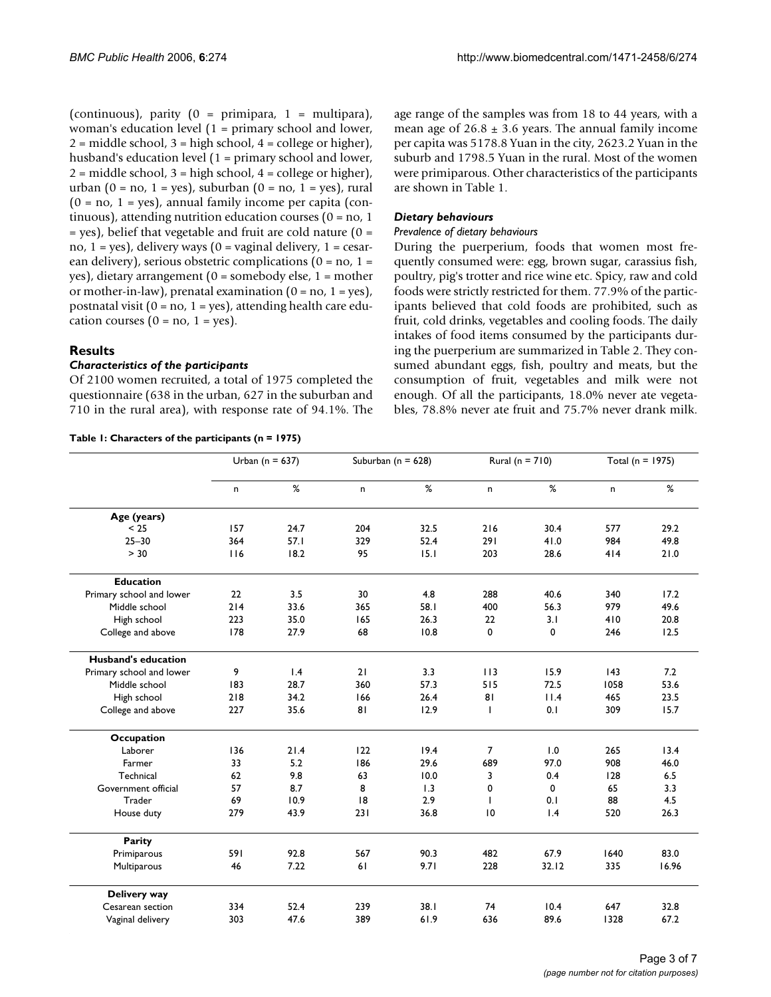(continuous), parity  $(0 = \text{primipara}, 1 = \text{multipara})$ , woman's education level (1 = primary school and lower,  $2 =$  middle school,  $3 =$  high school,  $4 =$  college or higher), husband's education level (1 = primary school and lower,  $2 =$  middle school,  $3 =$  high school,  $4 =$  college or higher), urban (0 = no, 1 = yes), suburban (0 = no, 1 = yes), rural  $(0 = no, 1 = yes)$ , annual family income per capita (continuous), attending nutrition education courses  $(0 = no, 1)$  $=$  yes), belief that vegetable and fruit are cold nature (0  $=$ no,  $1 = yes$ ), delivery ways (0 = vaginal delivery,  $1 = cesar$ ean delivery), serious obstetric complications ( $0 = no$ ,  $1 =$ yes), dietary arrangement (0 = somebody else, 1 = mother or mother-in-law), prenatal examination  $(0 = no, 1 = yes)$ , postnatal visit  $(0 = no, 1 = yes)$ , attending health care education courses  $(0 = no, 1 = yes)$ .

#### **Results**

#### *Characteristics of the participants*

Of 2100 women recruited, a total of 1975 completed the questionnaire (638 in the urban, 627 in the suburban and 710 in the rural area), with response rate of 94.1%. The

**Table 1: Characters of the participants (n = 1975)**

age range of the samples was from 18 to 44 years, with a mean age of  $26.8 \pm 3.6$  years. The annual family income per capita was 5178.8 Yuan in the city, 2623.2 Yuan in the suburb and 1798.5 Yuan in the rural. Most of the women were primiparous. Other characteristics of the participants are shown in Table 1.

#### *Dietary behaviours*

#### *Prevalence of dietary behaviours*

During the puerperium, foods that women most frequently consumed were: egg, brown sugar, carassius fish, poultry, pig's trotter and rice wine etc. Spicy, raw and cold foods were strictly restricted for them. 77.9% of the participants believed that cold foods are prohibited, such as fruit, cold drinks, vegetables and cooling foods. The daily intakes of food items consumed by the participants during the puerperium are summarized in Table 2. They consumed abundant eggs, fish, poultry and meats, but the consumption of fruit, vegetables and milk were not enough. Of all the participants, 18.0% never ate vegetables, 78.8% never ate fruit and 75.7% never drank milk.

|                            | Urban ( $n = 637$ ) |      | Suburban ( $n = 628$ ) |      | Rural ( $n = 710$ ) |             | Total ( $n = 1975$ ) |       |
|----------------------------|---------------------|------|------------------------|------|---------------------|-------------|----------------------|-------|
|                            | n                   | %    | n                      | %    | n.                  | %           | n.                   | %     |
| Age (years)                |                     |      |                        |      |                     |             |                      |       |
| < 25                       | 157                 | 24.7 | 204                    | 32.5 | 216                 | 30.4        | 577                  | 29.2  |
| $25 - 30$                  | 364                 | 57.1 | 329                    | 52.4 | 291                 | 41.0        | 984                  | 49.8  |
| > 30                       | 116                 | 18.2 | 95                     | 15.1 | 203                 | 28.6        | 414                  | 21.0  |
| <b>Education</b>           |                     |      |                        |      |                     |             |                      |       |
| Primary school and lower   | 22                  | 3.5  | 30                     | 4.8  | 288                 | 40.6        | 340                  | 17.2  |
| Middle school              | 214                 | 33.6 | 365                    | 58.1 | 400                 | 56.3        | 979                  | 49.6  |
| High school                | 223                 | 35.0 | 165                    | 26.3 | 22                  | 3.1         | 410                  | 20.8  |
| College and above          | 178                 | 27.9 | 68                     | 10.8 | 0                   | 0           | 246                  | 12.5  |
| <b>Husband's education</b> |                     |      |                        |      |                     |             |                      |       |
| Primary school and lower   | 9                   | 1.4  | 21                     | 3.3  | 113                 | 15.9        | 143                  | 7.2   |
| Middle school              | 183                 | 28.7 | 360                    | 57.3 | 515                 | 72.5        | 1058                 | 53.6  |
| High school                | 218                 | 34.2 | 166                    | 26.4 | 81                  | 11.4        | 465                  | 23.5  |
| College and above          | 227                 | 35.6 | 81                     | 12.9 |                     | 0.1         | 309                  | 15.7  |
| Occupation                 |                     |      |                        |      |                     |             |                      |       |
| Laborer                    | 136                 | 21.4 | 122                    | 19.4 | $\overline{7}$      | 1.0         | 265                  | 13.4  |
| Farmer                     | 33                  | 5.2  | 186                    | 29.6 | 689                 | 97.0        | 908                  | 46.0  |
| Technical                  | 62                  | 9.8  | 63                     | 10.0 | 3                   | 0.4         | 128                  | 6.5   |
| Government official        | 57                  | 8.7  | 8                      | 1.3  | 0                   | $\mathbf 0$ | 65                   | 3.3   |
| Trader                     | 69                  | 10.9 | 18                     | 2.9  |                     | 0.1         | 88                   | 4.5   |
| House duty                 | 279                 | 43.9 | 231                    | 36.8 | 10                  | 1.4         | 520                  | 26.3  |
| Parity                     |                     |      |                        |      |                     |             |                      |       |
| Primiparous                | 591                 | 92.8 | 567                    | 90.3 | 482                 | 67.9        | 1640                 | 83.0  |
| Multiparous                | 46                  | 7.22 | 61                     | 9.71 | 228                 | 32.12       | 335                  | 16.96 |
| Delivery way               |                     |      |                        |      |                     |             |                      |       |
| Cesarean section           | 334                 | 52.4 | 239                    | 38.1 | 74                  | 10.4        | 647                  | 32.8  |
| Vaginal delivery           | 303                 | 47.6 | 389                    | 61.9 | 636                 | 89.6        | 1328                 | 67.2  |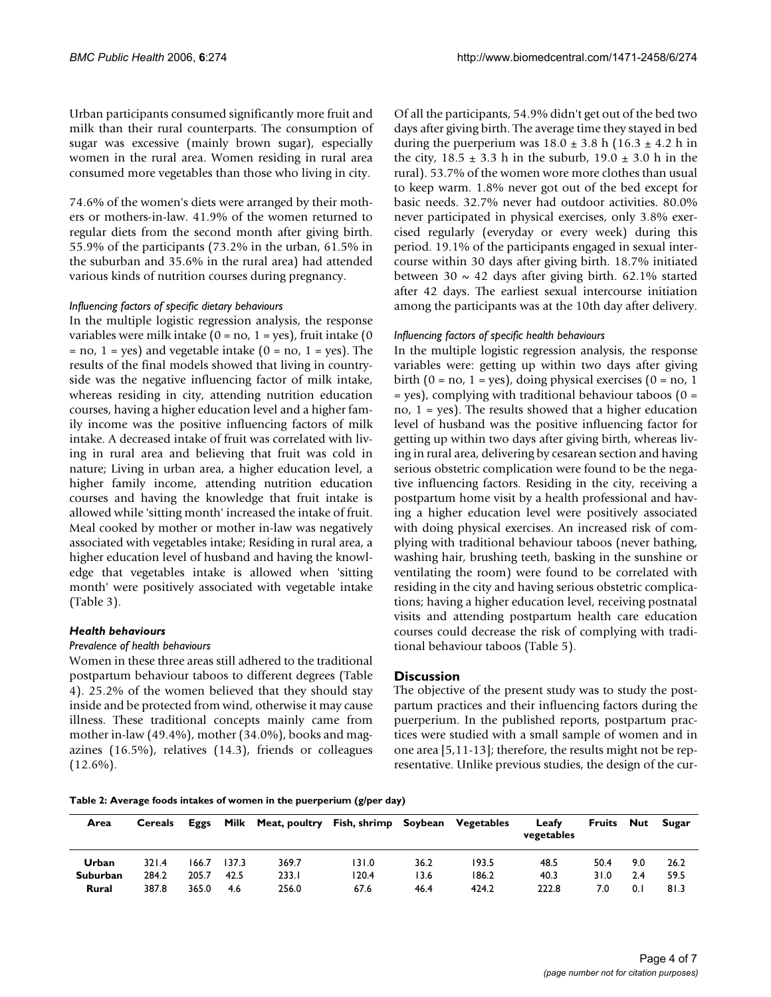Urban participants consumed significantly more fruit and milk than their rural counterparts. The consumption of sugar was excessive (mainly brown sugar), especially women in the rural area. Women residing in rural area consumed more vegetables than those who living in city.

74.6% of the women's diets were arranged by their mothers or mothers-in-law. 41.9% of the women returned to regular diets from the second month after giving birth. 55.9% of the participants (73.2% in the urban, 61.5% in the suburban and 35.6% in the rural area) had attended various kinds of nutrition courses during pregnancy.

#### *Influencing factors of specific dietary behaviours*

In the multiple logistic regression analysis, the response variables were milk intake  $(0 = no, 1 = yes)$ , fruit intake  $(0$  $=$  no, 1 = yes) and vegetable intake (0 = no, 1 = yes). The results of the final models showed that living in countryside was the negative influencing factor of milk intake, whereas residing in city, attending nutrition education courses, having a higher education level and a higher family income was the positive influencing factors of milk intake. A decreased intake of fruit was correlated with living in rural area and believing that fruit was cold in nature; Living in urban area, a higher education level, a higher family income, attending nutrition education courses and having the knowledge that fruit intake is allowed while 'sitting month' increased the intake of fruit. Meal cooked by mother or mother in-law was negatively associated with vegetables intake; Residing in rural area, a higher education level of husband and having the knowledge that vegetables intake is allowed when 'sitting month' were positively associated with vegetable intake (Table 3).

#### *Health behaviours*

#### *Prevalence of health behaviours*

Women in these three areas still adhered to the traditional postpartum behaviour taboos to different degrees (Table 4). 25.2% of the women believed that they should stay inside and be protected from wind, otherwise it may cause illness. These traditional concepts mainly came from mother in-law (49.4%), mother (34.0%), books and magazines (16.5%), relatives (14.3), friends or colleagues  $(12.6\%)$ .

Of all the participants, 54.9% didn't get out of the bed two days after giving birth. The average time they stayed in bed during the puerperium was  $18.0 \pm 3.8$  h ( $16.3 \pm 4.2$  h in the city,  $18.5 \pm 3.3$  h in the suburb,  $19.0 \pm 3.0$  h in the rural). 53.7% of the women wore more clothes than usual to keep warm. 1.8% never got out of the bed except for basic needs. 32.7% never had outdoor activities. 80.0% never participated in physical exercises, only 3.8% exercised regularly (everyday or every week) during this period. 19.1% of the participants engaged in sexual intercourse within 30 days after giving birth. 18.7% initiated between 30  $\sim$  42 days after giving birth. 62.1% started after 42 days. The earliest sexual intercourse initiation among the participants was at the 10th day after delivery.

#### *Influencing factors of specific health behaviours*

In the multiple logistic regression analysis, the response variables were: getting up within two days after giving birth (0 = no, 1 = yes), doing physical exercises (0 = no, 1  $=$  yes), complying with traditional behaviour taboos (0  $=$ no,  $1 = yes$ ). The results showed that a higher education level of husband was the positive influencing factor for getting up within two days after giving birth, whereas living in rural area, delivering by cesarean section and having serious obstetric complication were found to be the negative influencing factors. Residing in the city, receiving a postpartum home visit by a health professional and having a higher education level were positively associated with doing physical exercises. An increased risk of complying with traditional behaviour taboos (never bathing, washing hair, brushing teeth, basking in the sunshine or ventilating the room) were found to be correlated with residing in the city and having serious obstetric complications; having a higher education level, receiving postnatal visits and attending postpartum health care education courses could decrease the risk of complying with traditional behaviour taboos (Table 5).

#### **Discussion**

The objective of the present study was to study the postpartum practices and their influencing factors during the puerperium. In the published reports, postpartum practices were studied with a small sample of women and in one area [5,11-13]; therefore, the results might not be representative. Unlike previous studies, the design of the cur-

**Table 2: Average foods intakes of women in the puerperium (g/per day)**

| Area            | <b>Cereals</b> | Eggs  | <b>Milk</b> | Meat, poultry Fish, shrimp Soybean |       |      | Vegetables | Leafy<br>vegetables | <b>Fruits</b> | <b>Nut</b> | Sugar |
|-----------------|----------------|-------|-------------|------------------------------------|-------|------|------------|---------------------|---------------|------------|-------|
| Urban           | 321.4          | 166.7 | 137.3       | 369.7                              | 131.0 | 36.2 | 193.5      | 48.5                | 50.4          | 9.0        | 26.2  |
| <b>Suburban</b> | 284.2          | 205.7 | 42.5        | 233.1                              | 120.4 | 13.6 | 186.2      | 40.3                | 31.0          | 2.4        | 59.5  |
| <b>Rural</b>    | 387.8          | 365.0 | 4.6         | 256.0                              | 67.6  | 46.4 | 424.2      | 222.8               | 7.0           | 0.1        | 81.3  |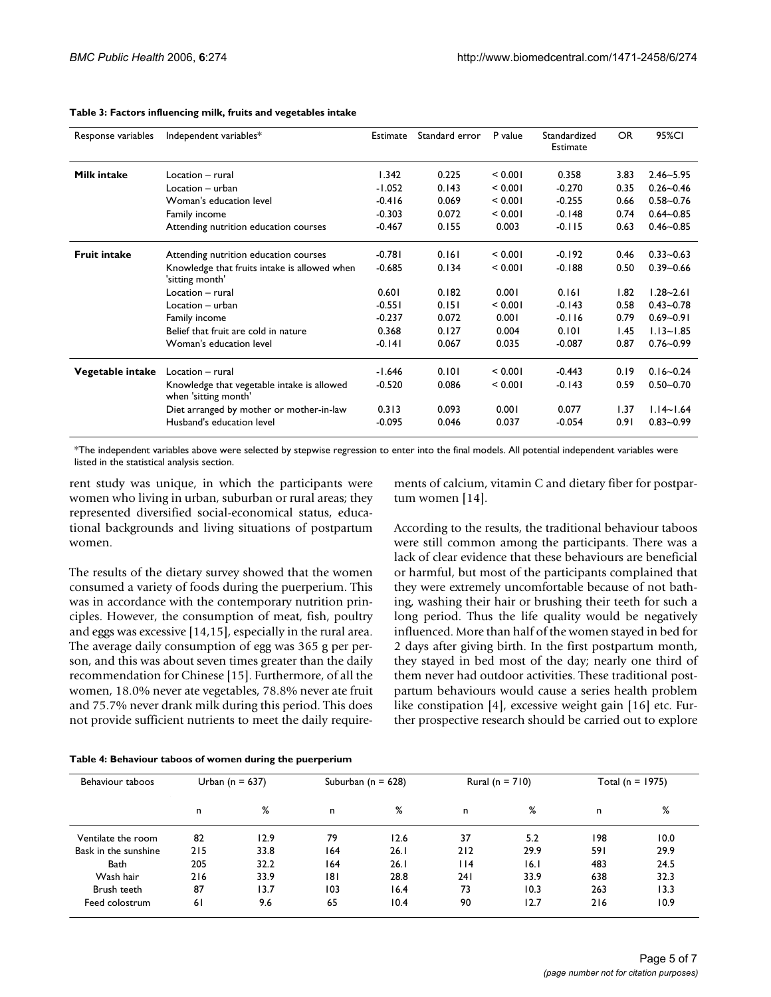| Response variables  | Independent variables*                                             | Estimate | Standard error | P value | Standardized<br>Estimate | OR.  | 95%CI         |
|---------------------|--------------------------------------------------------------------|----------|----------------|---------|--------------------------|------|---------------|
| <b>Milk intake</b>  | Location - rural                                                   | 1.342    | 0.225          | < 0.001 | 0.358                    | 3.83 | $2.46 - 5.95$ |
|                     | Location - urban                                                   | $-1.052$ | 0.143          | < 0.001 | $-0.270$                 | 0.35 | $0.26 - 0.46$ |
|                     | Woman's education level                                            | $-0.416$ | 0.069          | < 0.001 | $-0.255$                 | 0.66 | $0.58 - 0.76$ |
|                     | Family income                                                      | $-0.303$ | 0.072          | < 0.001 | $-0.148$                 | 0.74 | $0.64 - 0.85$ |
|                     | Attending nutrition education courses                              | $-0.467$ | 0.155          | 0.003   | $-0.115$                 | 0.63 | $0.46 - 0.85$ |
| <b>Fruit intake</b> | Attending nutrition education courses                              | $-0.781$ | 0.161          | < 0.001 | $-0.192$                 | 0.46 | $0.33 - 0.63$ |
|                     | Knowledge that fruits intake is allowed when<br>'sitting month'    | $-0.685$ | 0.134          | < 0.001 | $-0.188$                 | 0.50 | $0.39 - 0.66$ |
|                     | Location - rural                                                   | 0.601    | 0.182          | 0.001   | 0.161                    | 1.82 | $1.28 - 2.61$ |
|                     | Location - urban                                                   | $-0.551$ | 0.151          | < 0.001 | $-0.143$                 | 0.58 | $0.43 - 0.78$ |
|                     | Family income                                                      | $-0.237$ | 0.072          | 0.001   | $-0.116$                 | 0.79 | $0.69 - 0.91$ |
|                     | Belief that fruit are cold in nature                               | 0.368    | 0.127          | 0.004   | 0.101                    | 1.45 | $1.13 - 1.85$ |
|                     | Woman's education level                                            | $-0.141$ | 0.067          | 0.035   | $-0.087$                 | 0.87 | $0.76 - 0.99$ |
| Vegetable intake    | $Location - rural$                                                 | $-1.646$ | 0.101          | < 0.001 | $-0.443$                 | 0.19 | $0.16 - 0.24$ |
|                     | Knowledge that vegetable intake is allowed<br>when 'sitting month' | $-0.520$ | 0.086          | < 0.001 | $-0.143$                 | 0.59 | $0.50 - 0.70$ |
|                     | Diet arranged by mother or mother-in-law                           | 0.313    | 0.093          | 0.001   | 0.077                    | 1.37 | $1.14 - 1.64$ |
|                     | Husband's education level                                          | $-0.095$ | 0.046          | 0.037   | $-0.054$                 | 0.91 | $0.83 - 0.99$ |

#### **Table 3: Factors influencing milk, fruits and vegetables intake**

\*The independent variables above were selected by stepwise regression to enter into the final models. All potential independent variables were listed in the statistical analysis section.

rent study was unique, in which the participants were women who living in urban, suburban or rural areas; they represented diversified social-economical status, educational backgrounds and living situations of postpartum women.

The results of the dietary survey showed that the women consumed a variety of foods during the puerperium. This was in accordance with the contemporary nutrition principles. However, the consumption of meat, fish, poultry and eggs was excessive [14,15], especially in the rural area. The average daily consumption of egg was 365 g per person, and this was about seven times greater than the daily recommendation for Chinese [15]. Furthermore, of all the women, 18.0% never ate vegetables, 78.8% never ate fruit and 75.7% never drank milk during this period. This does not provide sufficient nutrients to meet the daily requirements of calcium, vitamin C and dietary fiber for postpartum women [14].

According to the results, the traditional behaviour taboos were still common among the participants. There was a lack of clear evidence that these behaviours are beneficial or harmful, but most of the participants complained that they were extremely uncomfortable because of not bathing, washing their hair or brushing their teeth for such a long period. Thus the life quality would be negatively influenced. More than half of the women stayed in bed for 2 days after giving birth. In the first postpartum month, they stayed in bed most of the day; nearly one third of them never had outdoor activities. These traditional postpartum behaviours would cause a series health problem like constipation [4], excessive weight gain [16] etc. Further prospective research should be carried out to explore

**Table 4: Behaviour taboos of women during the puerperium**

| Behaviour taboos     | Urban (n = $637$ ) |      | Suburban ( $n = 628$ ) |      |     | Rural ( $n = 710$ ) | Total (n = 1975) |      |  |
|----------------------|--------------------|------|------------------------|------|-----|---------------------|------------------|------|--|
|                      | n                  | %    | n                      | %    | n   | %                   | n                | %    |  |
| Ventilate the room   | 82                 | 12.9 | 79                     | 12.6 | 37  | 5.2                 | 198              | 10.0 |  |
| Bask in the sunshine | 215                | 33.8 | 164                    | 26.1 | 212 | 29.9                | 591              | 29.9 |  |
| Bath                 | 205                | 32.2 | 164                    | 26.1 | 114 | 16.1                | 483              | 24.5 |  |
| Wash hair            | 216                | 33.9 | 181                    | 28.8 | 241 | 33.9                | 638              | 32.3 |  |
| Brush teeth          | 87                 | 13.7 | 103                    | 16.4 | 73  | 10.3                | 263              | 13.3 |  |
| Feed colostrum       | 61                 | 9.6  | 65                     | 10.4 | 90  | 12.7                | 216              | 10.9 |  |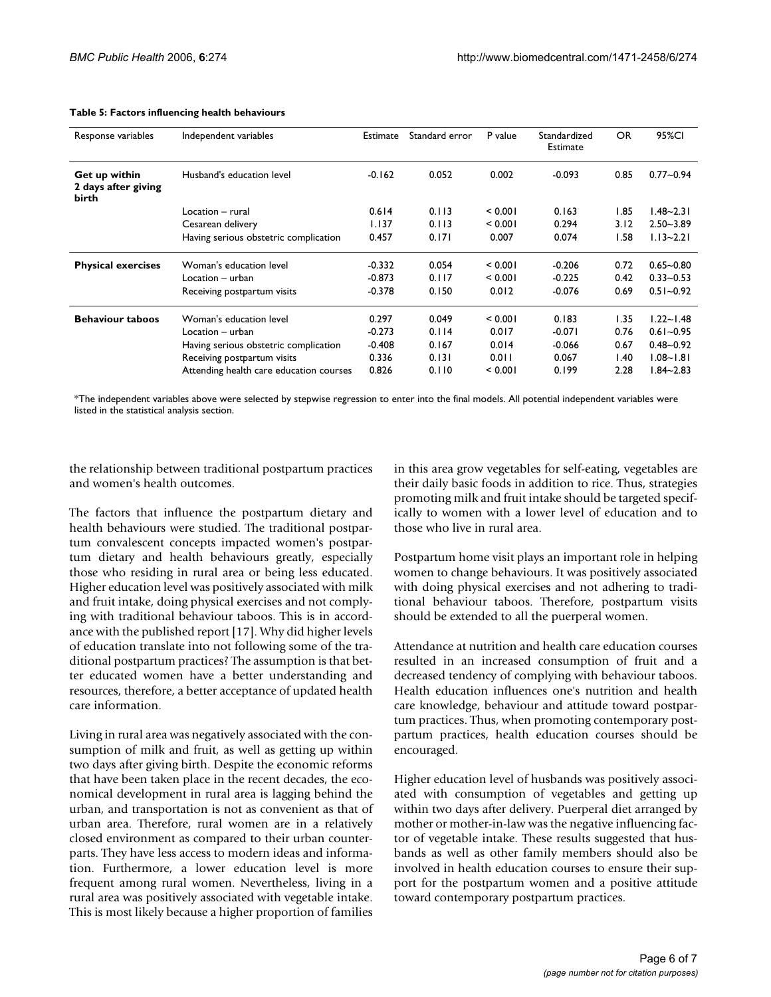| Response variables                            | Independent variables                   | Estimate | Standard error | P value | Standardized<br>Estimate | <b>OR</b> | 95%CI         |
|-----------------------------------------------|-----------------------------------------|----------|----------------|---------|--------------------------|-----------|---------------|
| Get up within<br>2 days after giving<br>birth | Husband's education level               | $-0.162$ | 0.052          | 0.002   | $-0.093$                 | 0.85      | $0.77 - 0.94$ |
|                                               | $Location - rural$                      | 0.614    | 0.113          | < 0.001 | 0.163                    | 1.85      | $1.48 - 2.31$ |
|                                               | Cesarean delivery                       | 1.137    | 0.113          | < 0.001 | 0.294                    | 3.12      | $2.50 - 3.89$ |
|                                               | Having serious obstetric complication   | 0.457    | 0.171          | 0.007   | 0.074                    | 1.58      | $1.13 - 2.21$ |
| <b>Physical exercises</b>                     | Woman's education level                 | $-0.332$ | 0.054          | 0.001   | $-0.206$                 | 0.72      | $0.65 - 0.80$ |
|                                               | $Location - urban$                      | $-0.873$ | 0.117          | < 0.001 | $-0.225$                 | 0.42      | $0.33 - 0.53$ |
|                                               | Receiving postpartum visits             | $-0.378$ | 0.150          | 0.012   | $-0.076$                 | 0.69      | $0.51 - 0.92$ |
| <b>Behaviour taboos</b>                       | Woman's education level                 | 0.297    | 0.049          | < 0.001 | 0.183                    | 1.35      | $1.22 - 1.48$ |
|                                               | Location – urban                        | $-0.273$ | 0.114          | 0.017   | $-0.071$                 | 0.76      | $0.61 - 0.95$ |
|                                               | Having serious obstetric complication   | $-0.408$ | 0.167          | 0.014   | $-0.066$                 | 0.67      | $0.48 - 0.92$ |
|                                               | Receiving postpartum visits             | 0.336    | 0.131          | 0.011   | 0.067                    | 1.40      | $1.08 - 1.81$ |
|                                               | Attending health care education courses | 0.826    | 0.110          | < 0.001 | 0.199                    | 2.28      | $1.84 - 2.83$ |

#### **Table 5: Factors influencing health behaviours**

\*The independent variables above were selected by stepwise regression to enter into the final models. All potential independent variables were listed in the statistical analysis section.

the relationship between traditional postpartum practices and women's health outcomes.

The factors that influence the postpartum dietary and health behaviours were studied. The traditional postpartum convalescent concepts impacted women's postpartum dietary and health behaviours greatly, especially those who residing in rural area or being less educated. Higher education level was positively associated with milk and fruit intake, doing physical exercises and not complying with traditional behaviour taboos. This is in accordance with the published report [17]. Why did higher levels of education translate into not following some of the traditional postpartum practices? The assumption is that better educated women have a better understanding and resources, therefore, a better acceptance of updated health care information.

Living in rural area was negatively associated with the consumption of milk and fruit, as well as getting up within two days after giving birth. Despite the economic reforms that have been taken place in the recent decades, the economical development in rural area is lagging behind the urban, and transportation is not as convenient as that of urban area. Therefore, rural women are in a relatively closed environment as compared to their urban counterparts. They have less access to modern ideas and information. Furthermore, a lower education level is more frequent among rural women. Nevertheless, living in a rural area was positively associated with vegetable intake. This is most likely because a higher proportion of families in this area grow vegetables for self-eating, vegetables are their daily basic foods in addition to rice. Thus, strategies promoting milk and fruit intake should be targeted specifically to women with a lower level of education and to those who live in rural area.

Postpartum home visit plays an important role in helping women to change behaviours. It was positively associated with doing physical exercises and not adhering to traditional behaviour taboos. Therefore, postpartum visits should be extended to all the puerperal women.

Attendance at nutrition and health care education courses resulted in an increased consumption of fruit and a decreased tendency of complying with behaviour taboos. Health education influences one's nutrition and health care knowledge, behaviour and attitude toward postpartum practices. Thus, when promoting contemporary postpartum practices, health education courses should be encouraged.

Higher education level of husbands was positively associated with consumption of vegetables and getting up within two days after delivery. Puerperal diet arranged by mother or mother-in-law was the negative influencing factor of vegetable intake. These results suggested that husbands as well as other family members should also be involved in health education courses to ensure their support for the postpartum women and a positive attitude toward contemporary postpartum practices.